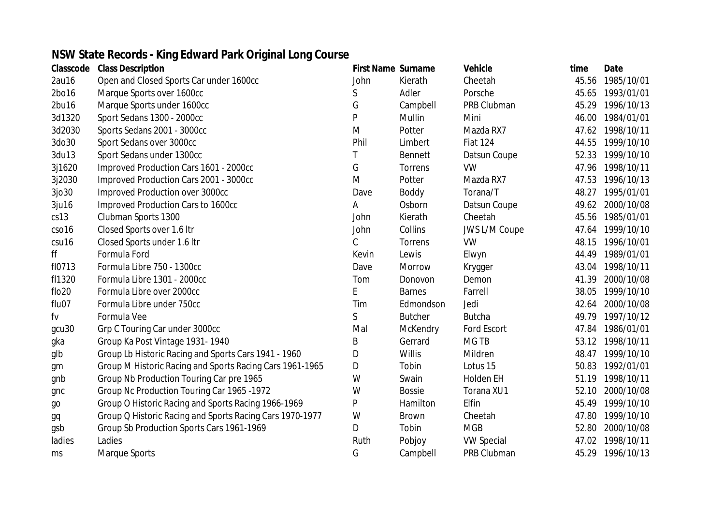## **NSW State Records - King Edward Park Original Long Course**

| Classcode | <b>Class Description</b>                                 | <b>First Name Surname</b> |                | <b>Vehicle</b>       | time  | <b>Date</b>      |
|-----------|----------------------------------------------------------|---------------------------|----------------|----------------------|-------|------------------|
| 2au16     | Open and Closed Sports Car under 1600cc                  | John                      | Kierath        | Cheetah              | 45.56 | 1985/10/01       |
| 2bo16     | Marque Sports over 1600cc                                | S                         | Adler          | Porsche              | 45.65 | 1993/01/01       |
| 2bu16     | Marque Sports under 1600cc                               | G                         | Campbell       | PRB Clubman          | 45.29 | 1996/10/13       |
| 3d1320    | Sport Sedans 1300 - 2000cc                               | P                         | Mullin         | Mini                 | 46.00 | 1984/01/01       |
| 3d2030    | Sports Sedans 2001 - 3000cc                              | M                         | Potter         | Mazda RX7            | 47.62 | 1998/10/11       |
| 3do30     | Sport Sedans over 3000cc                                 | Phil                      | Limbert        | <b>Fiat 124</b>      | 44.55 | 1999/10/10       |
| 3du13     | Sport Sedans under 1300cc                                |                           | <b>Bennett</b> | Datsun Coupe         |       | 52.33 1999/10/10 |
| 3j1620    | Improved Production Cars 1601 - 2000cc                   | G                         | Torrens        | <b>VW</b>            | 47.96 | 1998/10/11       |
| 3j2030    | Improved Production Cars 2001 - 3000cc                   | M                         | Potter         | Mazda RX7            | 47.53 | 1996/10/13       |
| 3jo30     | Improved Production over 3000cc                          | Dave                      | <b>Boddy</b>   | Torana/T             | 48.27 | 1995/01/01       |
| 3ju16     | Improved Production Cars to 1600cc                       | Α                         | Osborn         | Datsun Coupe         |       | 49.62 2000/10/08 |
| cs13      | Clubman Sports 1300                                      | John                      | Kierath        | Cheetah              | 45.56 | 1985/01/01       |
| cso16     | Closed Sports over 1.6 Itr                               | John                      | Collins        | <b>JWS L/M Coupe</b> |       | 47.64 1999/10/10 |
| csu16     | Closed Sports under 1.6 Itr                              | $\mathcal{C}$             | Torrens        | <b>VW</b>            | 48.15 | 1996/10/01       |
| ff        | Formula Ford                                             | Kevin                     | Lewis          | Elwyn                | 44.49 | 1989/01/01       |
| fl0713    | Formula Libre 750 - 1300cc                               | Dave                      | Morrow         | Krygger              | 43.04 | 1998/10/11       |
| fl1320    | Formula Libre 1301 - 2000cc                              | Tom                       | Donovon        | Demon                | 41.39 | 2000/10/08       |
| flo20     | Formula Libre over 2000cc                                | E                         | <b>Barnes</b>  | Farrell              | 38.05 | 1999/10/10       |
| flu07     | Formula Libre under 750cc                                | Tim                       | Edmondson      | Jedi                 | 42.64 | 2000/10/08       |
| fv        | Formula Vee                                              | $\mathsf S$               | <b>Butcher</b> | <b>Butcha</b>        | 49.79 | 1997/10/12       |
| gcu30     | Grp C Touring Car under 3000cc                           | Mal                       | McKendry       | Ford Escort          | 47.84 | 1986/01/01       |
| gka       | Group Ka Post Vintage 1931-1940                          | Β                         | Gerrard        | <b>MGTB</b>          | 53.12 | 1998/10/11       |
| glb       | Group Lb Historic Racing and Sports Cars 1941 - 1960     | D                         | <b>Willis</b>  | Mildren              | 48.47 | 1999/10/10       |
| gm        | Group M Historic Racing and Sports Racing Cars 1961-1965 | D                         | Tobin          | Lotus 15             | 50.83 | 1992/01/01       |
| gnb       | Group Nb Production Touring Car pre 1965                 | W                         | Swain          | <b>Holden EH</b>     | 51.19 | 1998/10/11       |
| gnc       | Group Nc Production Touring Car 1965 -1972               | W                         | <b>Bossie</b>  | Torana XU1           | 52.10 | 2000/10/08       |
| go        | Group O Historic Racing and Sports Racing 1966-1969      | P                         | Hamilton       | Elfin                | 45.49 | 1999/10/10       |
| gq        | Group Q Historic Racing and Sports Racing Cars 1970-1977 | W                         | <b>Brown</b>   | Cheetah              | 47.80 | 1999/10/10       |
| gsb       | Group Sb Production Sports Cars 1961-1969                | D                         | Tobin          | <b>MGB</b>           | 52.80 | 2000/10/08       |
| ladies    | Ladies                                                   | Ruth                      | Pobjoy         | <b>VW Special</b>    | 47.02 | 1998/10/11       |
| ms        | Marque Sports                                            | G                         | Campbell       | PRB Clubman          | 45.29 | 1996/10/13       |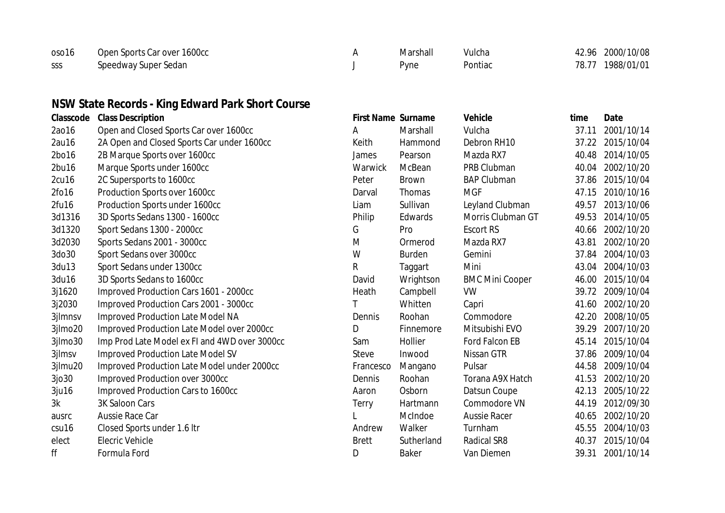| oso16 | Open Sports Car over 1600cc | Marshall | Vulcha  | 42.96 2000/10/08 |
|-------|-----------------------------|----------|---------|------------------|
| SSS   | Speedway Super Sedan        | Pyne     | Pontiac | 78.77 1988/01/01 |

## **NSW State Records - King Edward Park Short Course**

| Classcode | <b>Class Description</b>                      | <b>First Name Surname</b> |               | <b>Vehicle</b>         | time  | <b>Date</b> |
|-----------|-----------------------------------------------|---------------------------|---------------|------------------------|-------|-------------|
| 2ao16     | Open and Closed Sports Car over 1600cc        | Α                         | Marshall      | Vulcha                 | 37.11 | 2001/10/14  |
| 2au16     | 2A Open and Closed Sports Car under 1600cc    | Keith                     | Hammond       | Debron RH10            | 37.22 | 2015/10/04  |
| 2bo16     | 2B Marque Sports over 1600cc                  | James                     | Pearson       | Mazda RX7              | 40.48 | 2014/10/05  |
| 2bu16     | Marque Sports under 1600cc                    | Warwick                   | McBean        | PRB Clubman            | 40.04 | 2002/10/20  |
| 2cu16     | 2C Supersports to 1600cc                      | Peter                     | <b>Brown</b>  | <b>BAP Clubman</b>     | 37.86 | 2015/10/04  |
| 2fo16     | Production Sports over 1600cc                 | Darval                    | <b>Thomas</b> | <b>MGF</b>             | 47.15 | 2010/10/16  |
| 2fu16     | Production Sports under 1600cc                | Liam                      | Sullivan      | Leyland Clubman        | 49.57 | 2013/10/06  |
| 3d1316    | 3D Sports Sedans 1300 - 1600cc                | Philip                    | Edwards       | Morris Clubman GT      | 49.53 | 2014/10/05  |
| 3d1320    | Sport Sedans 1300 - 2000cc                    | G                         | Pro           | <b>Escort RS</b>       | 40.66 | 2002/10/20  |
| 3d2030    | Sports Sedans 2001 - 3000cc                   | M                         | Ormerod       | Mazda RX7              | 43.81 | 2002/10/20  |
| 3do30     | Sport Sedans over 3000cc                      | W                         | <b>Burden</b> | Gemini                 | 37.84 | 2004/10/03  |
| 3du13     | Sport Sedans under 1300cc                     | R                         | Taggart       | Mini                   | 43.04 | 2004/10/03  |
| 3du16     | 3D Sports Sedans to 1600cc                    | David                     | Wrightson     | <b>BMC Mini Cooper</b> | 46.00 | 2015/10/04  |
| 3j1620    | Improved Production Cars 1601 - 2000cc        | Heath                     | Campbell      | <b>VW</b>              | 39.72 | 2009/10/04  |
| 3j2030    | Improved Production Cars 2001 - 3000cc        |                           | Whitten       | Capri                  | 41.60 | 2002/10/20  |
| 3jlmnsv   | <b>Improved Production Late Model NA</b>      | Dennis                    | Roohan        | Commodore              | 42.20 | 2008/10/05  |
| 3jlmo20   | Improved Production Late Model over 2000cc    | D                         | Finnemore     | Mitsubishi EVO         | 39.29 | 2007/10/20  |
| 3jlmo30   | Imp Prod Late Model ex FI and 4WD over 3000cc | Sam                       | Hollier       | Ford Falcon EB         | 45.14 | 2015/10/04  |
| 3jlmsv    | <b>Improved Production Late Model SV</b>      | Steve                     | Inwood        | Nissan GTR             | 37.86 | 2009/10/04  |
| 3jlmu20   | Improved Production Late Model under 2000cc   | Francesco                 | Mangano       | Pulsar                 | 44.58 | 2009/10/04  |
| 3jo30     | Improved Production over 3000cc               | Dennis                    | Roohan        | Torana A9X Hatch       | 41.53 | 2002/10/20  |
| 3ju16     | Improved Production Cars to 1600cc            | Aaron                     | Osborn        | Datsun Coupe           | 42.13 | 2005/10/22  |
| 3k        | 3K Saloon Cars                                | Terry                     | Hartmann      | Commodore VN           | 44.19 | 2012/09/30  |
| ausrc     | Aussie Race Car                               |                           | McIndoe       | <b>Aussie Racer</b>    | 40.65 | 2002/10/20  |
| csu16     | Closed Sports under 1.6 Itr                   | Andrew                    | Walker        | Turnham                | 45.55 | 2004/10/03  |
| elect     | <b>Elecric Vehicle</b>                        | <b>Brett</b>              | Sutherland    | <b>Radical SR8</b>     | 40.37 | 2015/10/04  |
| ff        | Formula Ford                                  | D                         | <b>Baker</b>  | Van Diemen             | 39.31 | 2001/10/14  |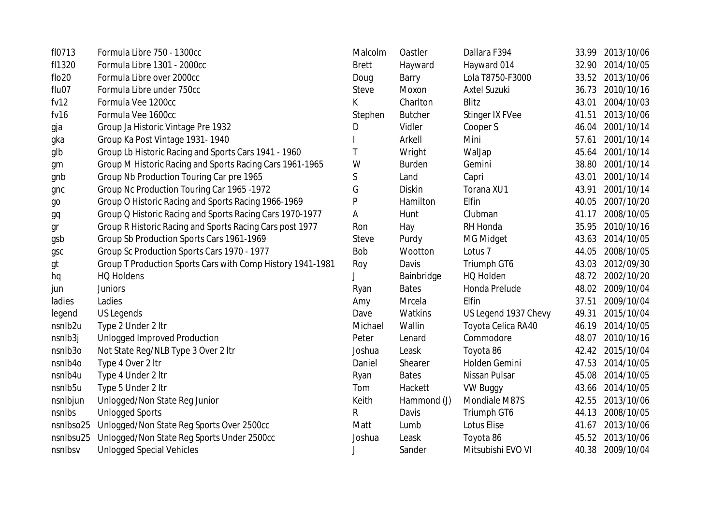| fl0713    | Formula Libre 750 - 1300cc                                 | Malcolm      | Oastler        | Dallara F394         |       | 33.99 2013/10/06 |
|-----------|------------------------------------------------------------|--------------|----------------|----------------------|-------|------------------|
| fl1320    | Formula Libre 1301 - 2000cc                                | <b>Brett</b> | Hayward        | Hayward 014          |       | 32.90 2014/10/05 |
| flo20     | Formula Libre over 2000cc                                  | Doug         | Barry          | Lola T8750-F3000     |       | 33.52 2013/10/06 |
| flu07     | Formula Libre under 750cc                                  | <b>Steve</b> | Moxon          | <b>Axtel Suzuki</b>  |       | 36.73 2010/10/16 |
| fv12      | Formula Vee 1200cc                                         | K            | Charlton       | Blitz                | 43.01 | 2004/10/03       |
| fv16      | Formula Vee 1600cc                                         | Stephen      | <b>Butcher</b> | Stinger IX FVee      | 41.51 | 2013/10/06       |
| gja       | Group Ja Historic Vintage Pre 1932                         | D            | Vidler         | Cooper S             | 46.04 | 2001/10/14       |
| gka       | Group Ka Post Vintage 1931-1940                            |              | Arkell         | Mini                 | 57.61 | 2001/10/14       |
| glb       | Group Lb Historic Racing and Sports Cars 1941 - 1960       | Τ            | Wright         | WalJap               |       | 45.64 2001/10/14 |
| gm        | Group M Historic Racing and Sports Racing Cars 1961-1965   | W            | <b>Burden</b>  | Gemini               | 38.80 | 2001/10/14       |
| gnb       | Group Nb Production Touring Car pre 1965                   | S            | Land           | Capri                | 43.01 | 2001/10/14       |
| gnc       | Group Nc Production Touring Car 1965 -1972                 | G            | <b>Diskin</b>  | Torana XU1           | 43.91 | 2001/10/14       |
| go        | Group O Historic Racing and Sports Racing 1966-1969        | P            | Hamilton       | Elfin                | 40.05 | 2007/10/20       |
| gq        | Group Q Historic Racing and Sports Racing Cars 1970-1977   | А            | Hunt           | Clubman              | 41.17 | 2008/10/05       |
| gr        | Group R Historic Racing and Sports Racing Cars post 1977   | Ron          | Hay            | RH Honda             | 35.95 | 2010/10/16       |
| gsb       | Group Sb Production Sports Cars 1961-1969                  | <b>Steve</b> | Purdy          | MG Midget            | 43.63 | 2014/10/05       |
| gsc       | Group Sc Production Sports Cars 1970 - 1977                | <b>Bob</b>   | Wootton        | Lotus <sub>7</sub>   | 44.05 | 2008/10/05       |
| gt        | Group T Production Sports Cars with Comp History 1941-1981 | Roy          | Davis          | Triumph GT6          | 43.03 | 2012/09/30       |
| hq        | <b>HQ Holdens</b>                                          |              | Bainbridge     | HQ Holden            |       | 48.72 2002/10/20 |
| jun       | <b>Juniors</b>                                             | Ryan         | <b>Bates</b>   | Honda Prelude        | 48.02 | 2009/10/04       |
| ladies    | Ladies                                                     | Amy          | Mrcela         | Elfin                | 37.51 | 2009/10/04       |
| legend    | US Legends                                                 | Dave         | Watkins        | US Legend 1937 Chevy | 49.31 | 2015/10/04       |
| nsnlb2u   | Type 2 Under 2 ltr                                         | Michael      | Wallin         | Toyota Celica RA40   | 46.19 | 2014/10/05       |
| nsnlb3j   | <b>Unlogged Improved Production</b>                        | Peter        | Lenard         | Commodore            | 48.07 | 2010/10/16       |
| nsnlb3o   | Not State Reg/NLB Type 3 Over 2 Itr                        | Joshua       | Leask          | Toyota 86            |       | 42.42 2015/10/04 |
| nsnlb4o   | Type 4 Over 2 ltr                                          | Daniel       | Shearer        | Holden Gemini        |       | 47.53 2014/10/05 |
| nsnlb4u   | Type 4 Under 2 Itr                                         | Ryan         | <b>Bates</b>   | Nissan Pulsar        | 45.08 | 2014/10/05       |
| nsnlb5u   | Type 5 Under 2 Itr                                         | Tom          | Hackett        | <b>VW Buggy</b>      | 43.66 | 2014/10/05       |
| nsnlbjun  | Unlogged/Non State Reg Junior                              | Keith        | Hammond (J)    | Mondiale M87S        | 42.55 | 2013/10/06       |
| nsnlbs    | <b>Unlogged Sports</b>                                     | R            | Davis          | Triumph GT6          | 44.13 | 2008/10/05       |
| nsnlbso25 | Unlogged/Non State Reg Sports Over 2500cc                  | Matt         | Lumb           | Lotus Elise          | 41.67 | 2013/10/06       |
| nsnlbsu25 | Unlogged/Non State Reg Sports Under 2500cc                 | Joshua       | Leask          | Toyota 86            |       | 45.52 2013/10/06 |
| nsnlbsv   | <b>Unlogged Special Vehicles</b>                           |              | Sander         | Mitsubishi EVO VI    |       | 40.38 2009/10/04 |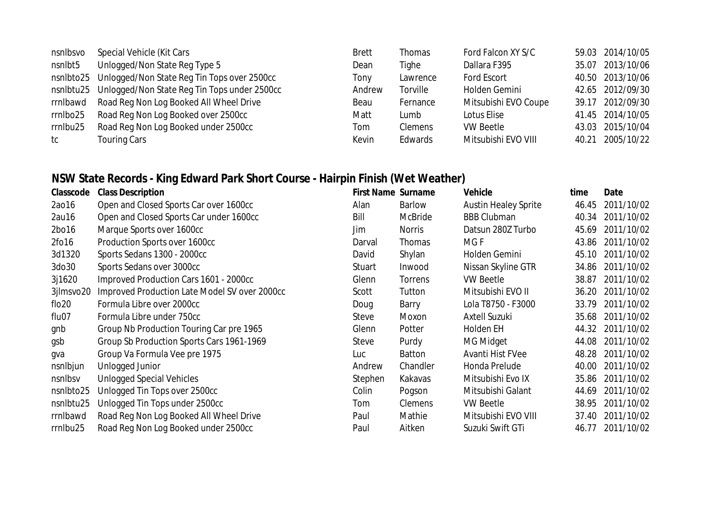| nsnlbsvo  | Special Vehicle (Kit Cars                    | <b>Brett</b> | <b>Thomas</b>  | Ford Falcon XY S/C   |       | 59.03 2014/10/05 |
|-----------|----------------------------------------------|--------------|----------------|----------------------|-------|------------------|
| nsnlbt5   | Unlogged/Non State Reg Type 5                | Dean         | Tighe          | Dallara F395         | 35.07 | 2013/10/06       |
| nsnlbto25 | Unlogged/Non State Reg Tin Tops over 2500cc  | Tony         | Lawrence       | <b>Ford Escort</b>   |       | 40.50 2013/10/06 |
| nsnlbtu25 | Unlogged/Non State Reg Tin Tops under 2500cc | Andrew       | Torville       | Holden Gemini        |       | 42.65 2012/09/30 |
| rrnlbawd  | Road Reg Non Log Booked All Wheel Drive      | Beau         | Fernance       | Mitsubishi EVO Coupe | 39.17 | 2012/09/30       |
| rrnlbo25  | Road Reg Non Log Booked over 2500cc          | Matt         | Lumb           | Lotus Elise          |       | 41.45 2014/10/05 |
| rrnlbu25  | Road Reg Non Log Booked under 2500cc         | Tom          | <b>Clemens</b> | <b>VW Beetle</b>     |       | 43.03 2015/10/04 |
| tc        | <b>Touring Cars</b>                          | Kevin        | Edwards        | Mitsubishi EVO VIII  | 40.21 | 2005/10/22       |

### **NSW State Records - King Edward Park Short Course - Hairpin Finish (Wet Weather)**

| Classcode            | <b>Class Description</b>                      | <b>First Name Surname</b> |                | <b>Vehicle</b>              | time  | Date             |
|----------------------|-----------------------------------------------|---------------------------|----------------|-----------------------------|-------|------------------|
| 2ao16                | Open and Closed Sports Car over 1600cc        | Alan                      | Barlow         | <b>Austin Healey Sprite</b> | 46.45 | 2011/10/02       |
| 2au16                | Open and Closed Sports Car under 1600cc       | Bill                      | McBride        | <b>BBB Clubman</b>          | 40.34 | 2011/10/02       |
| 2bo16                | Marque Sports over 1600cc                     | Jim                       | <b>Norris</b>  | Datsun 280Z Turbo           | 45.69 | 2011/10/02       |
| 2fo16                | Production Sports over 1600cc                 | Darval                    | Thomas         | MG F                        | 43.86 | 2011/10/02       |
| 3d1320               | Sports Sedans 1300 - 2000cc                   | David                     | Shylan         | Holden Gemini               | 45.10 | 2011/10/02       |
| 3do30                | Sports Sedans over 3000cc                     | Stuart                    | Inwood         | Nissan Skyline GTR          | 34.86 | 2011/10/02       |
| 3j1620               | Improved Production Cars 1601 - 2000cc        | Glenn                     | Torrens        | <b>VW Beetle</b>            | 38.87 | 2011/10/02       |
| 3jlmsvo20            | Improved Production Late Model SV over 2000cc | Scott                     | Tutton         | Mitsubishi EVO II           | 36.20 | 2011/10/02       |
| $f$ lo <sub>20</sub> | Formula Libre over 2000cc                     | Doug                      | Barry          | Lola T8750 - F3000          | 33.79 | 2011/10/02       |
| flu07                | Formula Libre under 750cc                     | Steve                     | Moxon          | <b>Axtell Suzuki</b>        | 35.68 | 2011/10/02       |
| gnb                  | Group Nb Production Touring Car pre 1965      | Glenn                     | Potter         | Holden EH                   | 44.32 | 2011/10/02       |
| gsb                  | Group Sb Production Sports Cars 1961-1969     | Steve                     | Purdy          | MG Midget                   | 44.08 | 2011/10/02       |
| gva                  | Group Va Formula Vee pre 1975                 | Luc                       | Batton         | Avanti Hist FVee            | 48.28 | 2011/10/02       |
| nsnlbjun             | Unlogged Junior                               | Andrew                    | Chandler       | Honda Prelude               | 40.00 | 2011/10/02       |
| nsnlbsv              | <b>Unlogged Special Vehicles</b>              | Stephen                   | Kakavas        | Mitsubishi Evo IX           | 35.86 | 2011/10/02       |
| nsnlbto25            | Unlogged Tin Tops over 2500cc                 | Colin                     | Pogson         | Mitsubishi Galant           | 44.69 | 2011/10/02       |
| nsnlbtu25            | Unlogged Tin Tops under 2500cc                | Tom                       | <b>Clemens</b> | <b>VW Beetle</b>            | 38.95 | 2011/10/02       |
| rrnlbawd             | Road Reg Non Log Booked All Wheel Drive       | Paul                      | Mathie         | Mitsubishi EVO VIII         | 37.40 | 2011/10/02       |
| rrnlbu25             | Road Reg Non Log Booked under 2500cc          | Paul                      | Aitken         | Suzuki Swift GTi            |       | 46.77 2011/10/02 |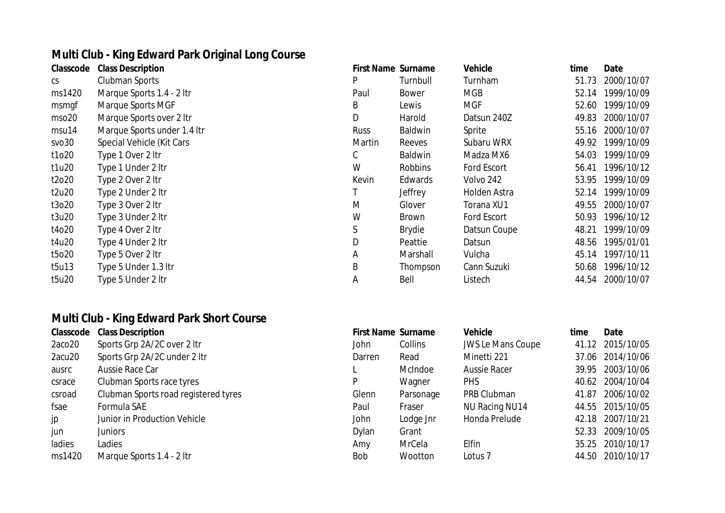# **Multi Club - King Edward Park Original Long Course**

| Classcode | <b>Class Description</b>    |
|-----------|-----------------------------|
| CS        | <b>Clubman Sports</b>       |
| ms1420    | Marque Sports 1.4 - 2 ltr   |
| msmgf     | Marque Sports MGF           |
| mso20     | Marque Sports over 2 Itr    |
| msu14     | Marque Sports under 1.4 Itr |
| svo30     | Special Vehicle (Kit Cars   |
| t1o20     | Type 1 Over 2 Itr           |
| t1u20     | Type 1 Under 2 Itr          |
| t2o20     | Type 2 Over 2 Itr           |
| t2u20     | Type 2 Under 2 Itr          |
| t3o20     | Type 3 Over 2 Itr           |
| t3u20     | Type 3 Under 2 Itr          |
| t4o20     | Type 4 Over 2 Itr           |
| t4u20     | Type 4 Under 2 Itr          |
| t5o20     | Type 5 Over 2 Itr           |
| t5u13     | Type 5 Under 1.3 Itr        |
| t5u20     | Type 5 Under 2 Itr          |

#### **Multi Club - King Edward Park Short Course**

| Classcode | <b>Class Description</b>             | <b>First Name Surname</b> |           | <b>Vehicle</b>           | time | Date             |
|-----------|--------------------------------------|---------------------------|-----------|--------------------------|------|------------------|
| 2aco20    | Sports Grp 2A/2C over 2 ltr          | John                      | Collins   | <b>JWS Le Mans Coupe</b> |      | 41.12 2015/10/05 |
| 2acu20    | Sports Grp 2A/2C under 2 ltr         | Darren                    | Read      | Minetti 221              |      | 37.06 2014/10/06 |
| ausrc     | Aussie Race Car                      |                           | McIndoe   | <b>Aussie Racer</b>      |      | 39.95 2003/10/06 |
| csrace    | Clubman Sports race tyres            | P                         | Wagner    | <b>PHS</b>               |      | 40.62 2004/10/04 |
| csroad    | Clubman Sports road registered tyres | Glenn                     | Parsonage | PRB Clubman              |      | 41.87 2006/10/02 |
| fsae      | Formula SAE                          | Paul                      | Fraser    | NU Racing NU14           |      | 44.55 2015/10/05 |
| jp        | Junior in Production Vehicle         | John                      | Lodge Jnr | Honda Prelude            |      | 42.18 2007/10/21 |
| jun       | Juniors                              | Dylan                     | Grant     |                          |      | 52.33 2009/10/05 |
| ladies    | Ladies                               | Amy                       | MrCela    | Elfin                    |      | 35.25 2010/10/17 |
| ms1420    | Marque Sports 1.4 - 2 ltr            | <b>Bob</b>                | Wootton   | Lotus <sub>7</sub>       |      | 44.50 2010/10/17 |

|        | ivium Ciub - King Edward Park Original Long Course |                           |                |                    |       |            |
|--------|----------------------------------------------------|---------------------------|----------------|--------------------|-------|------------|
|        | <b>Classcode</b> Class Description                 | <b>First Name Surname</b> |                | <b>Vehicle</b>     | time  | Date       |
| CS     | Clubman Sports                                     | P                         | Turnbull       | Turnham            | 51.73 | 2000/10/07 |
| ms1420 | Marque Sports 1.4 - 2 ltr                          | Paul                      | Bower          | <b>MGB</b>         | 52.14 | 1999/10/09 |
| msmgf  | Marque Sports MGF                                  | B                         | Lewis          | <b>MGF</b>         | 52.60 | 1999/10/09 |
| mso20  | Marque Sports over 2 Itr                           | D                         | Harold         | Datsun 240Z        | 49.83 | 2000/10/07 |
| msu14  | Marque Sports under 1.4 Itr                        | <b>Russ</b>               | Baldwin        | Sprite             | 55.16 | 2000/10/07 |
| svo30  | Special Vehicle (Kit Cars                          | Martin                    | Reeves         | Subaru WRX         | 49.92 | 1999/10/09 |
| t1o20  | Type 1 Over 2 Itr                                  | C                         | Baldwin        | Madza MX6          | 54.03 | 1999/10/09 |
| t1u20  | Type 1 Under 2 Itr                                 | W                         | <b>Robbins</b> | <b>Ford Escort</b> | 56.41 | 1996/10/12 |
| t2o20  | Type 2 Over 2 Itr                                  | Kevin                     | Edwards        | Volvo 242          | 53.95 | 1999/10/09 |
| t2u20  | Type 2 Under 2 Itr                                 |                           | Jeffrey        | Holden Astra       | 52.14 | 1999/10/09 |
| t3o20  | Type 3 Over 2 Itr                                  | M                         | Glover         | Torana XU1         | 49.55 | 2000/10/07 |
| t3u20  | Type 3 Under 2 Itr                                 | W                         | <b>Brown</b>   | <b>Ford Escort</b> | 50.93 | 1996/10/12 |
| t4o20  | Type 4 Over 2 Itr                                  | S                         | <b>Brydie</b>  | Datsun Coupe       | 48.21 | 1999/10/09 |
| t4u20  | Type 4 Under 2 Itr                                 | D                         | Peattie        | Datsun             | 48.56 | 1995/01/01 |
| t5o20  | Type 5 Over 2 Itr                                  | A                         | Marshall       | Vulcha             | 45.14 | 1997/10/11 |
| t5u13  | Type 5 Under 1.3 Itr                               | B                         | Thompson       | Cann Suzuki        | 50.68 | 1996/10/12 |
| t5u20  | Type 5 Under 2 Itr                                 | Α                         | Bell           | Listech            | 44.54 | 2000/10/07 |
|        |                                                    |                           |                |                    |       |            |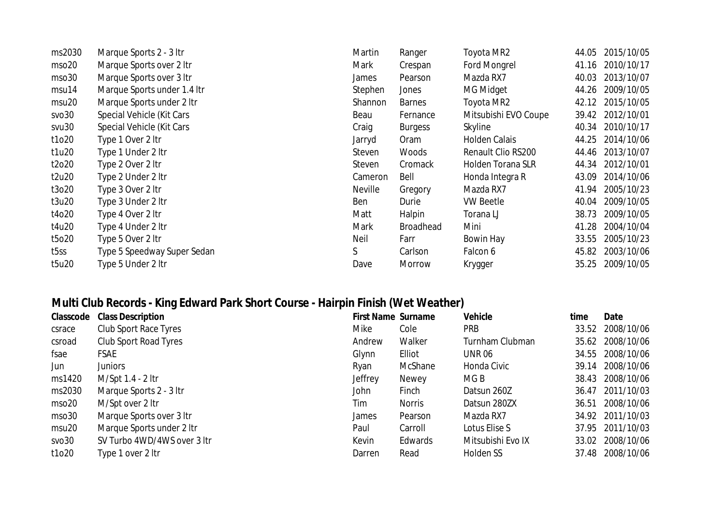| ms2030            | Marque Sports 2 - 3 ltr     | Martin         | Ranger           | Toyota MR2               | 44.05 | 2015/10/05 |
|-------------------|-----------------------------|----------------|------------------|--------------------------|-------|------------|
| mso <sub>20</sub> | Marque Sports over 2 Itr    | Mark           | Crespan          | Ford Mongrel             | 41.16 | 2010/10/17 |
| mso30             | Marque Sports over 3 ltr    | James          | Pearson          | Mazda RX7                | 40.03 | 2013/10/07 |
| msu14             | Marque Sports under 1.4 Itr | Stephen        | Jones            | MG Midget                | 44.26 | 2009/10/05 |
| msu <sub>20</sub> | Marque Sports under 2 Itr   | Shannon        | <b>Barnes</b>    | Toyota MR2               | 42.12 | 2015/10/05 |
| svo30             | Special Vehicle (Kit Cars   | Beau           | Fernance         | Mitsubishi EVO Coupe     | 39.42 | 2012/10/01 |
| svu30             | Special Vehicle (Kit Cars   | Craig          | <b>Burgess</b>   | Skyline                  | 40.34 | 2010/10/17 |
| t1o20             | Type 1 Over 2 ltr           | Jarryd         | Oram             | <b>Holden Calais</b>     | 44.25 | 2014/10/06 |
| t1u20             | Type 1 Under 2 Itr          | Steven         | Woods            | Renault Clio RS200       | 44.46 | 2013/10/07 |
| t2o20             | Type 2 Over 2 ltr           | Steven         | Cromack          | <b>Holden Torana SLR</b> | 44.34 | 2012/10/01 |
| t2u20             | Type 2 Under 2 Itr          | Cameron        | Bell             | Honda Integra R          | 43.09 | 2014/10/06 |
| t3o20             | Type 3 Over 2 ltr           | <b>Neville</b> | Gregory          | Mazda RX7                | 41.94 | 2005/10/23 |
| t3u20             | Type 3 Under 2 Itr          | Ben            | Durie            | <b>VW Beetle</b>         | 40.04 | 2009/10/05 |
| t4o20             | Type 4 Over 2 Itr           | Matt           | Halpin           | Torana LJ                | 38.73 | 2009/10/05 |
| t4u20             | Type 4 Under 2 Itr          | Mark           | <b>Broadhead</b> | Mini                     | 41.28 | 2004/10/04 |
| t5o20             | Type 5 Over 2 Itr           | Neil           | Farr             | Bowin Hay                | 33.55 | 2005/10/23 |
| t5ss              | Type 5 Speedway Super Sedan | S              | Carlson          | Falcon 6                 | 45.82 | 2003/10/06 |
| t5u20             | Type 5 Under 2 Itr          | Dave           | Morrow           | Krygger                  | 35.25 | 2009/10/05 |

## **Multi Club Records - King Edward Park Short Course - Hairpin Finish (Wet Weather)**

| Classcode         | <b>Class Description</b>    | <b>First Name Surname</b> |               | <b>Vehicle</b>    | time  | Date             |
|-------------------|-----------------------------|---------------------------|---------------|-------------------|-------|------------------|
| csrace            | Club Sport Race Tyres       | Mike                      | Cole          | <b>PRB</b>        | 33.52 | 2008/10/06       |
| csroad            | Club Sport Road Tyres       | Andrew                    | Walker        | Turnham Clubman   | 35.62 | 2008/10/06       |
| fsae              | <b>FSAE</b>                 | Glynn                     | Elliot        | <b>UNR 06</b>     |       | 34.55 2008/10/06 |
| Jun               | <b>Juniors</b>              | Ryan                      | McShane       | Honda Civic       |       | 39.14 2008/10/06 |
| ms1420            | M/Spt 1.4 - 2 ltr           | Jeffrey                   | Newey         | MG B              | 38.43 | 2008/10/06       |
| ms2030            | Marque Sports 2 - 3 ltr     | John                      | Finch         | Datsun 260Z       | 36.47 | 2011/10/03       |
| mso20             | M/Spt over 2 ltr            | Tim                       | <b>Norris</b> | Datsun 280ZX      | 36.51 | 2008/10/06       |
| mso30             | Marque Sports over 3 ltr    | James                     | Pearson       | Mazda RX7         |       | 34.92 2011/10/03 |
| msu <sub>20</sub> | Marque Sports under 2 Itr   | Paul                      | Carroll       | Lotus Elise S     |       | 37.95 2011/10/03 |
| SVO30             | SV Turbo 4WD/4WS over 3 ltr | Kevin                     | Edwards       | Mitsubishi Evo IX |       | 33.02 2008/10/06 |
| t1o20             | Type 1 over 2 ltr           | Darren                    | Read          | Holden SS         | 37.48 | 2008/10/06       |